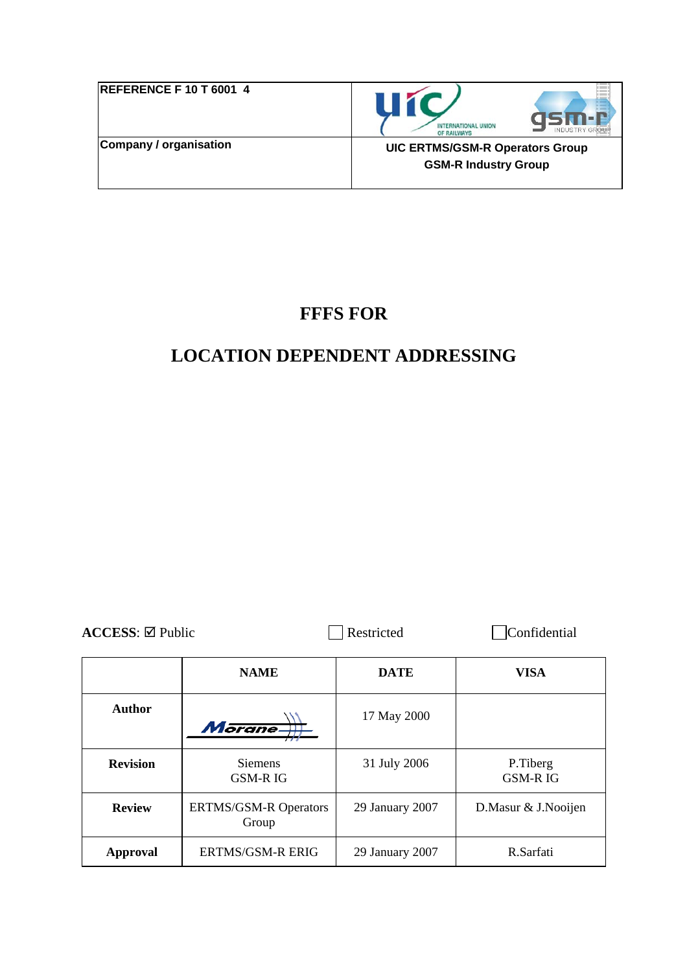| <b>REFERENCE F 10 T 6001 4</b> |  |
|--------------------------------|--|
| Company / organisation         |  |



**UIC ERTMS/GSM-R Operators Group GSM-R Industry Group** 

## **FFFS FOR**

# **LOCATION DEPENDENT ADDRESSING**

| $\text{ACCESS}$ : $\boxtimes$ Public | Restricted | Confidential |
|--------------------------------------|------------|--------------|
|                                      |            |              |

|                 | <b>NAME</b>                           | <b>DATE</b>     | VISA                       |
|-----------------|---------------------------------------|-----------------|----------------------------|
| Author          | Morane-                               | 17 May 2000     |                            |
| <b>Revision</b> | <b>Siemens</b><br><b>GSM-RIG</b>      | 31 July 2006    | P.Tiberg<br><b>GSM-RIG</b> |
| <b>Review</b>   | <b>ERTMS/GSM-R Operators</b><br>Group | 29 January 2007 | D.Masur & J.Nooijen        |
| <b>Approval</b> | <b>ERTMS/GSM-R ERIG</b>               | 29 January 2007 | R.Sarfati                  |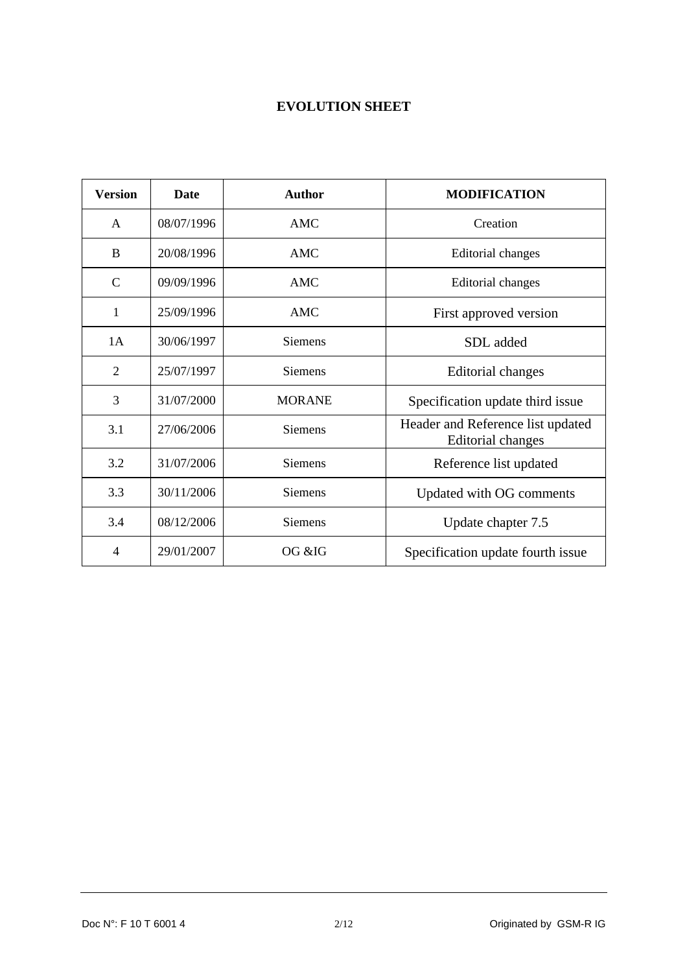## **EVOLUTION SHEET**

| <b>Version</b> | Date       | <b>Author</b>  | <b>MODIFICATION</b>                                           |
|----------------|------------|----------------|---------------------------------------------------------------|
| $\mathsf{A}$   | 08/07/1996 | AMC            | Creation                                                      |
| B              | 20/08/1996 | AMC            | Editorial changes                                             |
| $\mathcal{C}$  | 09/09/1996 | <b>AMC</b>     | Editorial changes                                             |
| 1              | 25/09/1996 | AMC            | First approved version                                        |
| 1A             | 30/06/1997 | <b>Siemens</b> | SDL added                                                     |
| $\overline{2}$ | 25/07/1997 | <b>Siemens</b> | <b>Editorial changes</b>                                      |
| 3              | 31/07/2000 | <b>MORANE</b>  | Specification update third issue                              |
| 3.1            | 27/06/2006 | <b>Siemens</b> | Header and Reference list updated<br><b>Editorial changes</b> |
| 3.2            | 31/07/2006 | <b>Siemens</b> | Reference list updated                                        |
| 3.3            | 30/11/2006 | <b>Siemens</b> | Updated with OG comments                                      |
| 3.4            | 08/12/2006 | <b>Siemens</b> | Update chapter 7.5                                            |
| 4              | 29/01/2007 | OG &IG         | Specification update fourth issue                             |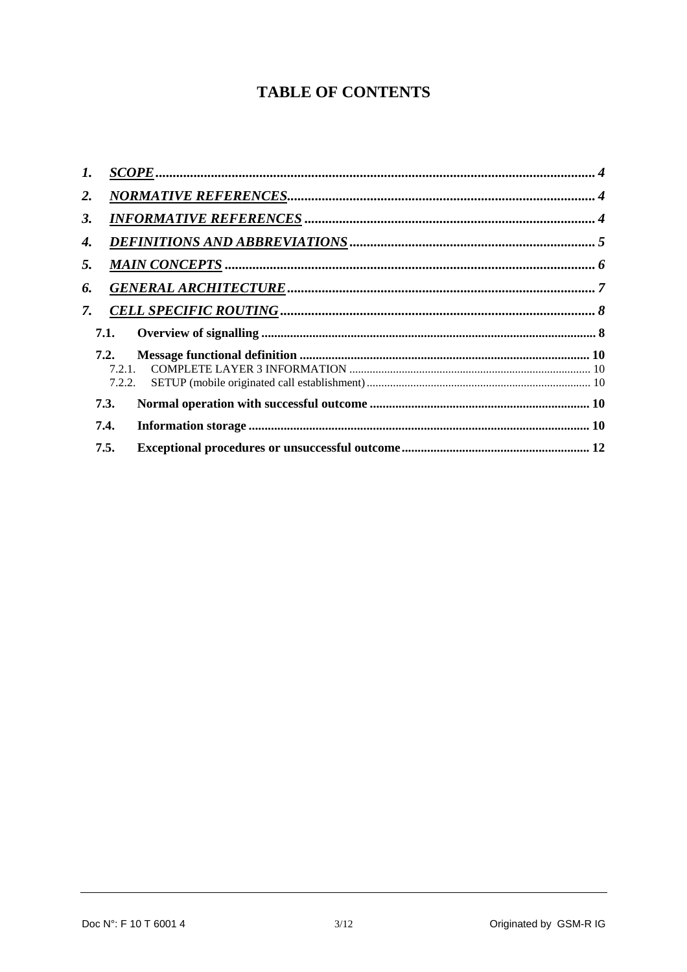## **TABLE OF CONTENTS**

| $\mathbf{I}$ . |        |  |
|----------------|--------|--|
| 2.             |        |  |
| 3.             |        |  |
| 4.             |        |  |
| 5.             |        |  |
| 6.             |        |  |
| 7.             |        |  |
|                | 7.1.   |  |
|                | 7.2.   |  |
|                | 7.2.1. |  |
|                | 7.2.2. |  |
|                | 7.3.   |  |
|                | 7.4.   |  |
|                | 7.5.   |  |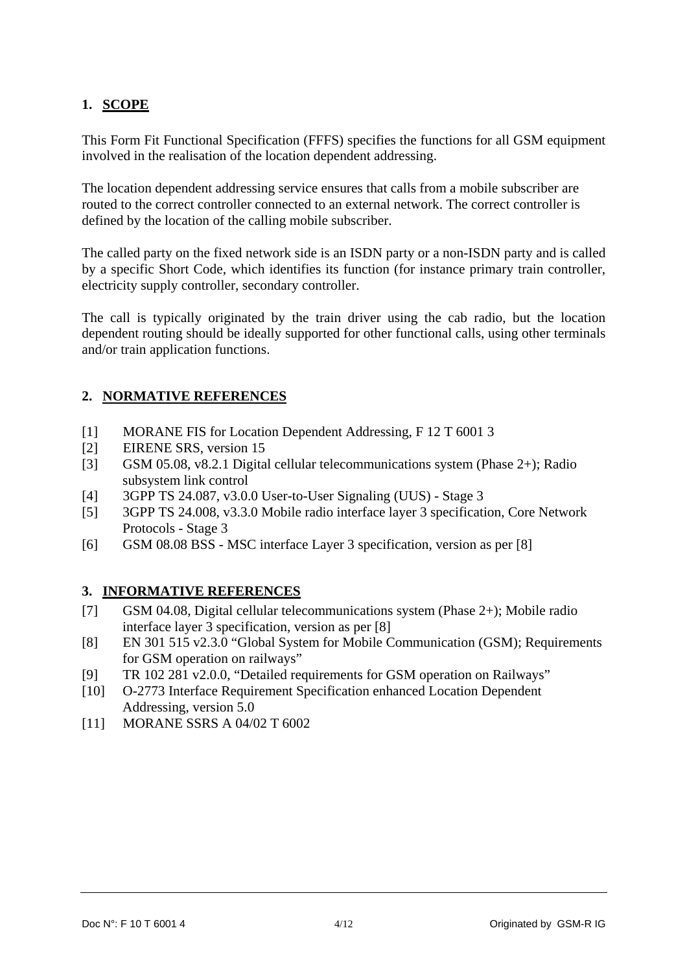## <span id="page-3-0"></span>**1. SCOPE**

This Form Fit Functional Specification (FFFS) specifies the functions for all GSM equipment involved in the realisation of the location dependent addressing.

The location dependent addressing service ensures that calls from a mobile subscriber are routed to the correct controller connected to an external network. The correct controller is defined by the location of the calling mobile subscriber.

The called party on the fixed network side is an ISDN party or a non-ISDN party and is called by a specific Short Code, which identifies its function (for instance primary train controller, electricity supply controller, secondary controller.

The call is typically originated by the train driver using the cab radio, but the location dependent routing should be ideally supported for other functional calls, using other terminals and/or train application functions.

## **2. NORMATIVE REFERENCES**

- [1] MORANE FIS for Location Dependent Addressing, F 12 T 6001 3
- [2] EIRENE SRS, version 15
- [3] GSM 05.08, v8.2.1 Digital cellular telecommunications system (Phase 2+); Radio subsystem link control
- [4] 3GPP TS 24.087, v3.0.0 User-to-User Signaling (UUS) Stage 3
- [5] 3GPP TS 24.008, v3.3.0 Mobile radio interface layer 3 specification, Core Network Protocols - Stage 3
- [6] GSM 08.08 BSS MSC interface Layer 3 specification, version as per [8]

## **3. INFORMATIVE REFERENCES**

- [7] GSM 04.08, Digital cellular telecommunications system (Phase 2+); Mobile radio interface layer 3 specification, version as per [8]
- [8] EN 301 515 v2.3.0 "Global System for Mobile Communication (GSM); Requirements for GSM operation on railways"
- [9] TR 102 281 v2.0.0, "Detailed requirements for GSM operation on Railways"
- [10] O-2773 Interface Requirement Specification enhanced Location Dependent Addressing, version 5.0
- [11] MORANE SSRS A 04/02 T 6002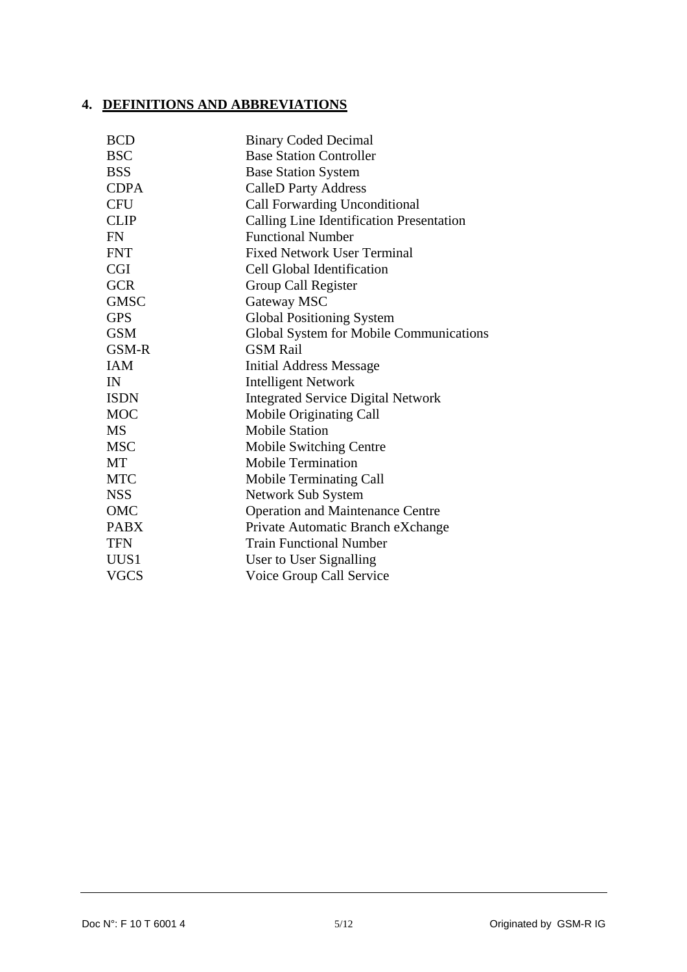#### <span id="page-4-0"></span>**4. DEFINITIONS AND ABBREVIATIONS**

| <b>BCD</b>  | <b>Binary Coded Decimal</b>               |
|-------------|-------------------------------------------|
| <b>BSC</b>  | <b>Base Station Controller</b>            |
| <b>BSS</b>  | <b>Base Station System</b>                |
| <b>CDPA</b> | <b>CalleD Party Address</b>               |
| <b>CFU</b>  | Call Forwarding Unconditional             |
| <b>CLIP</b> | Calling Line Identification Presentation  |
| <b>FN</b>   | <b>Functional Number</b>                  |
| <b>FNT</b>  | <b>Fixed Network User Terminal</b>        |
| <b>CGI</b>  | Cell Global Identification                |
| <b>GCR</b>  | Group Call Register                       |
| <b>GMSC</b> | Gateway MSC                               |
| <b>GPS</b>  | <b>Global Positioning System</b>          |
| <b>GSM</b>  | Global System for Mobile Communications   |
| GSM-R       | <b>GSM Rail</b>                           |
| <b>IAM</b>  | <b>Initial Address Message</b>            |
| IN          | <b>Intelligent Network</b>                |
| <b>ISDN</b> | <b>Integrated Service Digital Network</b> |
| <b>MOC</b>  | Mobile Originating Call                   |
| <b>MS</b>   | <b>Mobile Station</b>                     |
| <b>MSC</b>  | Mobile Switching Centre                   |
| МT          | <b>Mobile Termination</b>                 |
| <b>MTC</b>  | Mobile Terminating Call                   |
| <b>NSS</b>  | Network Sub System                        |
| <b>OMC</b>  | <b>Operation and Maintenance Centre</b>   |
| <b>PABX</b> | Private Automatic Branch eXchange         |
| <b>TFN</b>  | <b>Train Functional Number</b>            |
| UUS1        | User to User Signalling                   |
| <b>VGCS</b> | Voice Group Call Service                  |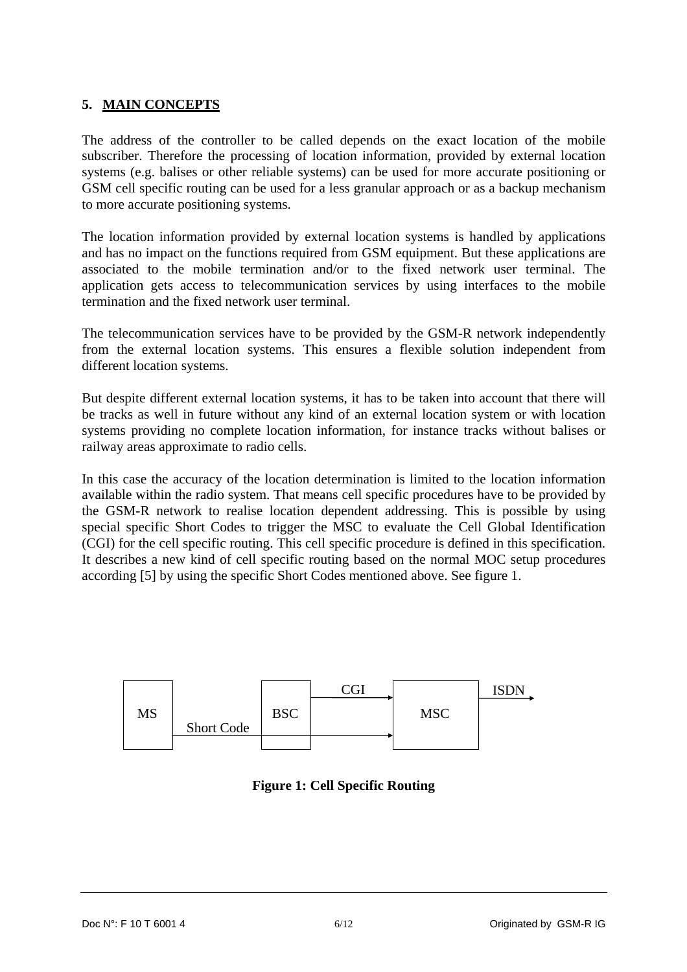## <span id="page-5-0"></span>**5. MAIN CONCEPTS**

The address of the controller to be called depends on the exact location of the mobile subscriber. Therefore the processing of location information, provided by external location systems (e.g. balises or other reliable systems) can be used for more accurate positioning or GSM cell specific routing can be used for a less granular approach or as a backup mechanism to more accurate positioning systems.

The location information provided by external location systems is handled by applications and has no impact on the functions required from GSM equipment. But these applications are associated to the mobile termination and/or to the fixed network user terminal. The application gets access to telecommunication services by using interfaces to the mobile termination and the fixed network user terminal.

The telecommunication services have to be provided by the GSM-R network independently from the external location systems. This ensures a flexible solution independent from different location systems.

But despite different external location systems, it has to be taken into account that there will be tracks as well in future without any kind of an external location system or with location systems providing no complete location information, for instance tracks without balises or railway areas approximate to radio cells.

In this case the accuracy of the location determination is limited to the location information available within the radio system. That means cell specific procedures have to be provided by the GSM-R network to realise location dependent addressing. This is possible by using special specific Short Codes to trigger the MSC to evaluate the Cell Global Identification (CGI) for the cell specific routing. This cell specific procedure is defined in this specification. It describes a new kind of cell specific routing based on the normal MOC setup procedures according [5] by using the specific Short Codes mentioned above. See figure 1.



**Figure 1: Cell Specific Routing**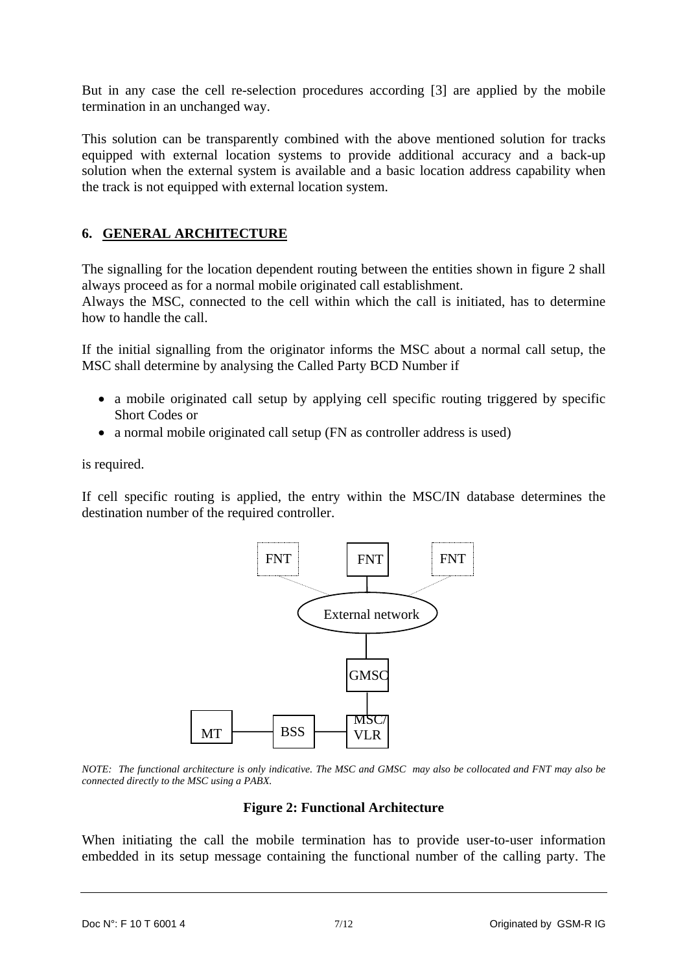<span id="page-6-0"></span>But in any case the cell re-selection procedures according [3] are applied by the mobile termination in an unchanged way.

This solution can be transparently combined with the above mentioned solution for tracks equipped with external location systems to provide additional accuracy and a back-up solution when the external system is available and a basic location address capability when the track is not equipped with external location system.

## **6. GENERAL ARCHITECTURE**

The signalling for the location dependent routing between the entities shown in figure 2 shall always proceed as for a normal mobile originated call establishment.

Always the MSC, connected to the cell within which the call is initiated, has to determine how to handle the call.

If the initial signalling from the originator informs the MSC about a normal call setup, the MSC shall determine by analysing the Called Party BCD Number if

- a mobile originated call setup by applying cell specific routing triggered by specific Short Codes or
- a normal mobile originated call setup (FN as controller address is used)

is required.

If cell specific routing is applied, the entry within the MSC/IN database determines the destination number of the required controller.



*NOTE: The functional architecture is only indicative. The MSC and GMSC may also be collocated and FNT may also be connected directly to the MSC using a PABX.* 

#### **Figure 2: Functional Architecture**

When initiating the call the mobile termination has to provide user-to-user information embedded in its setup message containing the functional number of the calling party. The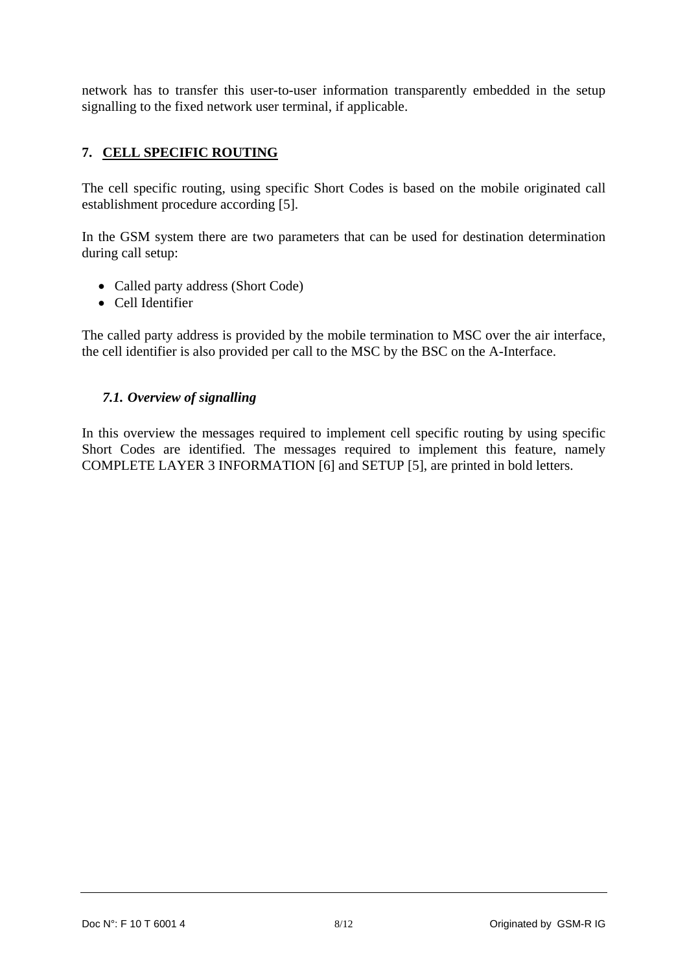<span id="page-7-0"></span>network has to transfer this user-to-user information transparently embedded in the setup signalling to the fixed network user terminal, if applicable.

## **7. CELL SPECIFIC ROUTING**

The cell specific routing, using specific Short Codes is based on the mobile originated call establishment procedure according [5].

In the GSM system there are two parameters that can be used for destination determination during call setup:

- Called party address (Short Code)
- Cell Identifier

The called party address is provided by the mobile termination to MSC over the air interface, the cell identifier is also provided per call to the MSC by the BSC on the A-Interface.

#### *7.1. Overview of signalling*

In this overview the messages required to implement cell specific routing by using specific Short Codes are identified. The messages required to implement this feature, namely COMPLETE LAYER 3 INFORMATION [6] and SETUP [5], are printed in bold letters.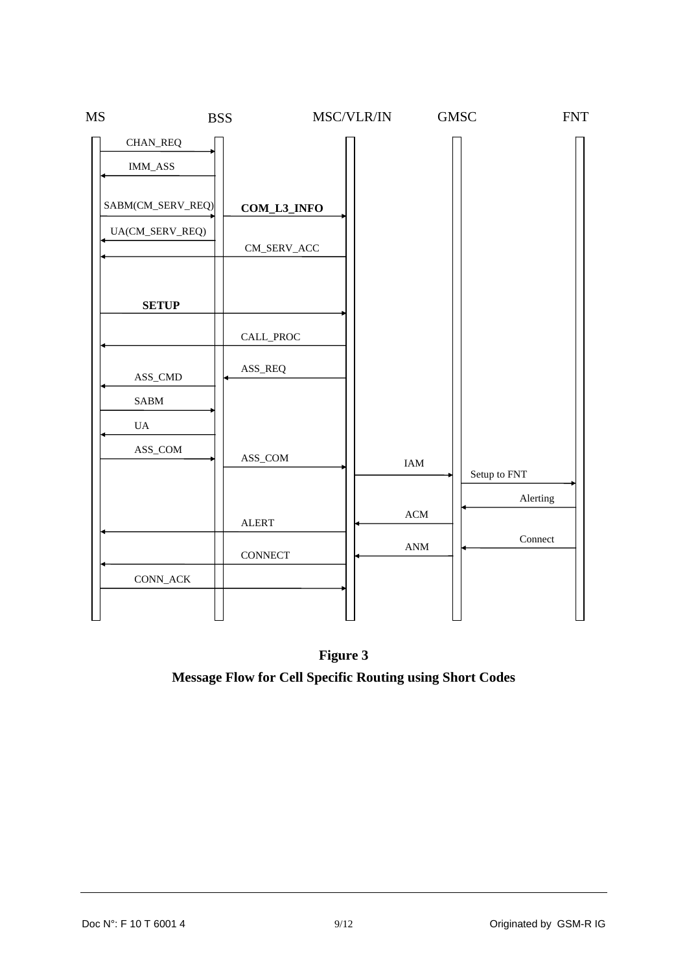

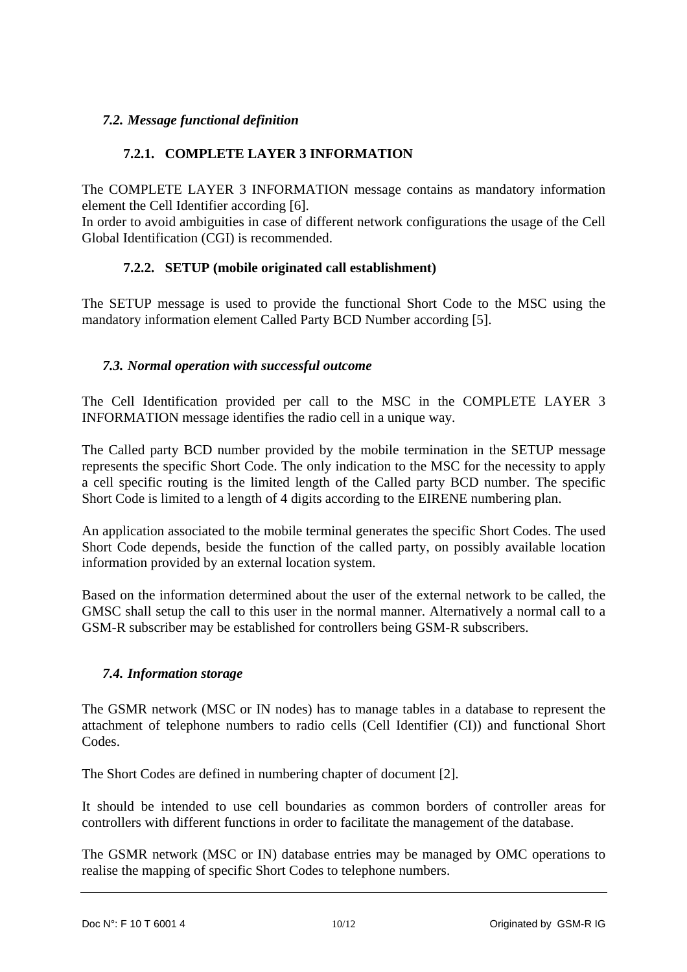## <span id="page-9-0"></span>*7.2. Message functional definition*

## **7.2.1. COMPLETE LAYER 3 INFORMATION**

The COMPLETE LAYER 3 INFORMATION message contains as mandatory information element the Cell Identifier according [6].

In order to avoid ambiguities in case of different network configurations the usage of the Cell Global Identification (CGI) is recommended.

## **7.2.2. SETUP (mobile originated call establishment)**

The SETUP message is used to provide the functional Short Code to the MSC using the mandatory information element Called Party BCD Number according [5].

## *7.3. Normal operation with successful outcome*

The Cell Identification provided per call to the MSC in the COMPLETE LAYER 3 INFORMATION message identifies the radio cell in a unique way.

The Called party BCD number provided by the mobile termination in the SETUP message represents the specific Short Code. The only indication to the MSC for the necessity to apply a cell specific routing is the limited length of the Called party BCD number. The specific Short Code is limited to a length of 4 digits according to the EIRENE numbering plan.

An application associated to the mobile terminal generates the specific Short Codes. The used Short Code depends, beside the function of the called party, on possibly available location information provided by an external location system.

Based on the information determined about the user of the external network to be called, the GMSC shall setup the call to this user in the normal manner. Alternatively a normal call to a GSM-R subscriber may be established for controllers being GSM-R subscribers.

## *7.4. Information storage*

The GSMR network (MSC or IN nodes) has to manage tables in a database to represent the attachment of telephone numbers to radio cells (Cell Identifier (CI)) and functional Short Codes.

The Short Codes are defined in numbering chapter of document [2].

It should be intended to use cell boundaries as common borders of controller areas for controllers with different functions in order to facilitate the management of the database.

The GSMR network (MSC or IN) database entries may be managed by OMC operations to realise the mapping of specific Short Codes to telephone numbers.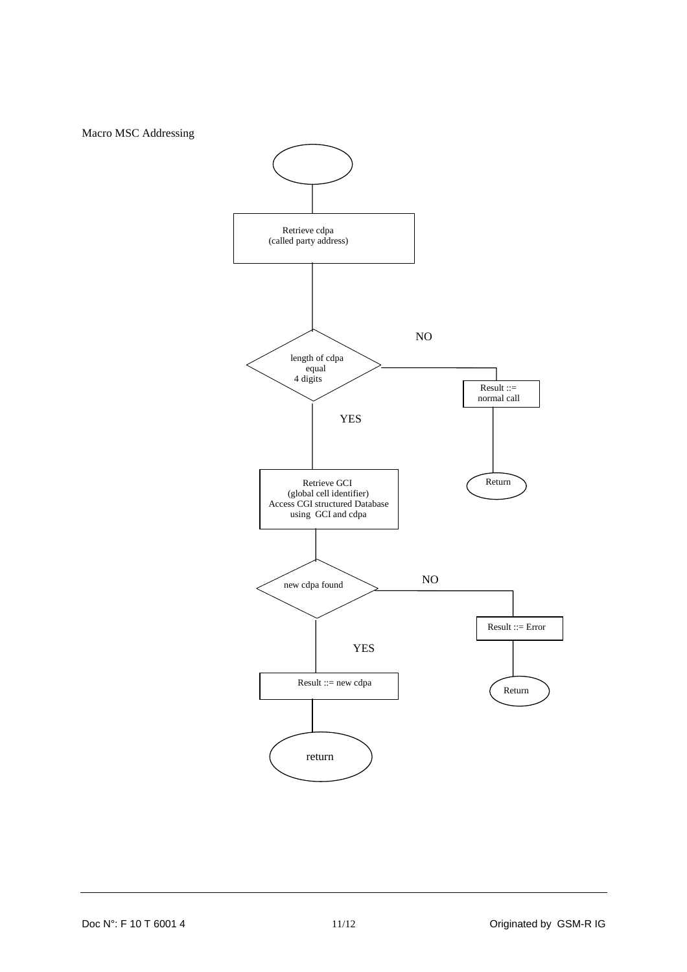Macro MSC Addressing